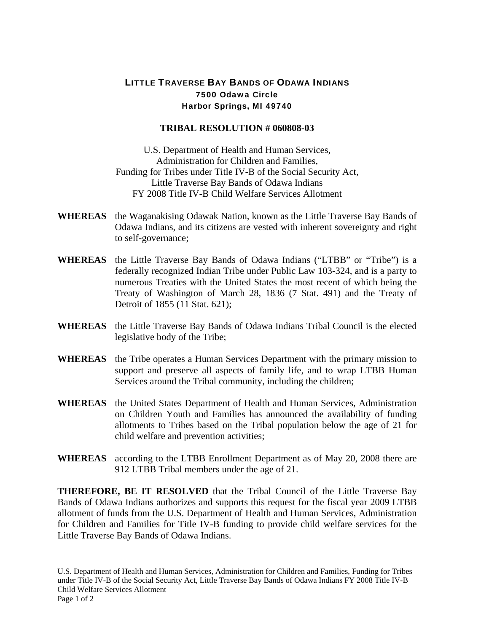## LITTLE TRAVERSE BAY BANDS OF ODAWA INDIANS 7500 Odawa Circle Harbor Springs, MI 49740

## **TRIBAL RESOLUTION # 060808-03**

U.S. Department of Health and Human Services, Administration for Children and Families, Funding for Tribes under Title IV-B of the Social Security Act, Little Traverse Bay Bands of Odawa Indians FY 2008 Title IV-B Child Welfare Services Allotment

- **WHEREAS** the Waganakising Odawak Nation, known as the Little Traverse Bay Bands of Odawa Indians, and its citizens are vested with inherent sovereignty and right to self-governance;
- **WHEREAS** the Little Traverse Bay Bands of Odawa Indians ("LTBB" or "Tribe") is a federally recognized Indian Tribe under Public Law 103-324, and is a party to numerous Treaties with the United States the most recent of which being the Treaty of Washington of March 28, 1836 (7 Stat. 491) and the Treaty of Detroit of 1855 (11 Stat. 621);
- **WHEREAS** the Little Traverse Bay Bands of Odawa Indians Tribal Council is the elected legislative body of the Tribe;
- **WHEREAS** the Tribe operates a Human Services Department with the primary mission to support and preserve all aspects of family life, and to wrap LTBB Human Services around the Tribal community, including the children;
- **WHEREAS** the United States Department of Health and Human Services, Administration on Children Youth and Families has announced the availability of funding allotments to Tribes based on the Tribal population below the age of 21 for child welfare and prevention activities;
- **WHEREAS** according to the LTBB Enrollment Department as of May 20, 2008 there are 912 LTBB Tribal members under the age of 21.

**THEREFORE, BE IT RESOLVED** that the Tribal Council of the Little Traverse Bay Bands of Odawa Indians authorizes and supports this request for the fiscal year 2009 LTBB allotment of funds from the U.S. Department of Health and Human Services, Administration for Children and Families for Title IV-B funding to provide child welfare services for the Little Traverse Bay Bands of Odawa Indians.